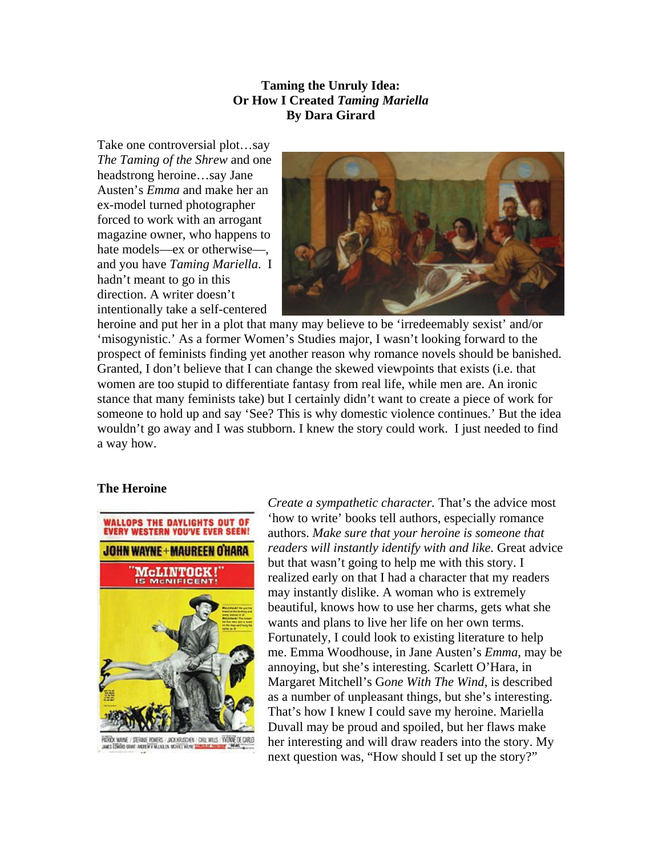# **Taming the Unruly Idea: Or How I Created** *Taming Mariella* **By Dara Girard**

Take one controversial plot…say *The Taming of the Shrew* and one headstrong heroine…say Jane Austen's *Emma* and make her an ex-model turned photographer forced to work with an arrogant magazine owner, who happens to hate models—ex or otherwise—, and you have *Taming Mariella*. I hadn't meant to go in this direction. A writer doesn't intentionally take a self-centered



heroine and put her in a plot that many may believe to be 'irredeemably sexist' and/or 'misogynistic.' As a former Women's Studies major, I wasn't looking forward to the prospect of feminists finding yet another reason why romance novels should be banished. Granted, I don't believe that I can change the skewed viewpoints that exists (i.e. that women are too stupid to differentiate fantasy from real life, while men are. An ironic stance that many feminists take) but I certainly didn't want to create a piece of work for someone to hold up and say 'See? This is why domestic violence continues.' But the idea wouldn't go away and I was stubborn. I knew the story could work. I just needed to find a way how.

## **The Heroine**



PORTON WOME / STERME POWERS / JOCK REVENERY / CHILINIUS / VIONNÉ DE CARLO<br>JANES TERRIES ERRE MADE NYTHELAULEN WERE TRANS <mark>COMEAUX (MANIFEST) (MANET</mark>

*Create a sympathetic character.* That's the advice most 'how to write' books tell authors, especially romance authors. *Make sure that your heroine is someone that readers will instantly identify with and like.* Great advice but that wasn't going to help me with this story. I realized early on that I had a character that my readers may instantly dislike. A woman who is extremely beautiful, knows how to use her charms, gets what she wants and plans to live her life on her own terms. Fortunately, I could look to existing literature to help me. Emma Woodhouse, in Jane Austen's *Emma*, may be annoying, but she's interesting. Scarlett O'Hara, in Margaret Mitchell's G*one With The Wind*, is described as a number of unpleasant things, but she's interesting. That's how I knew I could save my heroine. Mariella Duvall may be proud and spoiled, but her flaws make her interesting and will draw readers into the story. My next question was, "How should I set up the story?"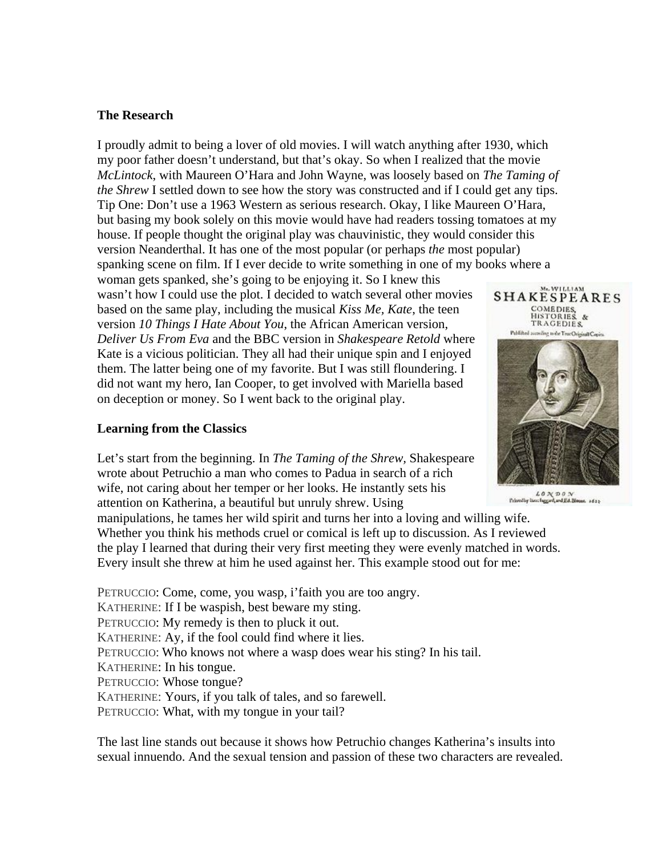## **The Research**

I proudly admit to being a lover of old movies. I will watch anything after 1930, which my poor father doesn't understand, but that's okay. So when I realized that the movie *McLintock*, with Maureen O'Hara and John Wayne, was loosely based on *The Taming of the Shrew* I settled down to see how the story was constructed and if I could get any tips. Tip One: Don't use a 1963 Western as serious research. Okay, I like Maureen O'Hara, but basing my book solely on this movie would have had readers tossing tomatoes at my house. If people thought the original play was chauvinistic, they would consider this version Neanderthal. It has one of the most popular (or perhaps *the* most popular) spanking scene on film. If I ever decide to write something in one of my books where a woman gets spanked, she's going to be enjoying it. So I knew this

wasn't how I could use the plot. I decided to watch several other movies based on the same play, including the musical *Kiss Me, Kate*, the teen version *10 Things I Hate About You*, the African American version, *Deliver Us From Eva* and the BBC version in *Shakespeare Retold* where Kate is a vicious politician. They all had their unique spin and I enjoyed them. The latter being one of my favorite. But I was still floundering. I did not want my hero, Ian Cooper, to get involved with Mariella based on deception or money. So I went back to the original play.

#### **Learning from the Classics**

Let's start from the beginning. In *The Taming of the Shrew,* Shakespeare wrote about Petruchio a man who comes to Padua in search of a rich wife, not caring about her temper or her looks. He instantly sets his attention on Katherina, a beautiful but unruly shrew. Using

manipulations, he tames her wild spirit and turns her into a loving and willing wife. Whether you think his methods cruel or comical is left up to discussion. As I reviewed the play I learned that during their very first meeting they were evenly matched in words. Every insult she threw at him he used against her. This example stood out for me:

PETRUCCIO: Come, come, you wasp, i'faith you are too angry. KATHERINE: If I be waspish, best beware my sting. PETRUCCIO: My remedy is then to pluck it out. KATHERINE: Ay, if the fool could find where it lies. PETRUCCIO: Who knows not where a wasp does wear his sting? In his tail. KATHERINE: In his tongue. PETRUCCIO: Whose tongue? KATHERINE: Yours, if you talk of tales, and so farewell. PETRUCCIO: What, with my tongue in your tail?

The last line stands out because it shows how Petruchio changes Katherina's insults into sexual innuendo. And the sexual tension and passion of these two characters are revealed.



Me. WILLIAM

 $\begin{array}{c} \mathcal{L} \text{ } \mathcal{O} \text{ } \mathcal{N} \text{ } \mathcal{D} \text{ } \mathcal{O} \text{ } \mathcal{N} \\ \text{Poissonity line length, and Ed-Bions. } \text{ } \text{ } \text{if } z_2 \text{ } \end{array}$